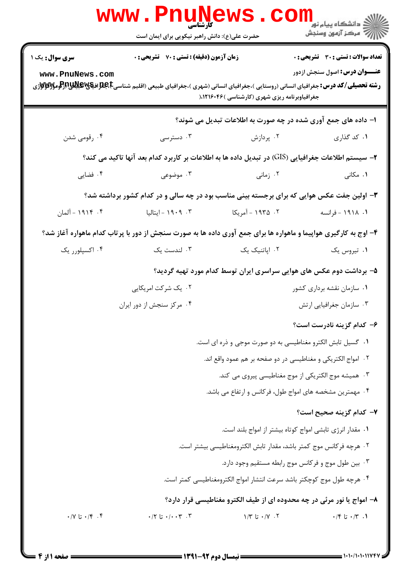|                                                                                                    | کارشناسی<br>حضرت علی(ع): دانش راهبر نیکویی برای ایمان است                                                                                                                                                   |                                              | ڪ دانشڪاه پيام نور<br><mark>√</mark> مرڪز آزمون وسنڊش                                |  |  |
|----------------------------------------------------------------------------------------------------|-------------------------------------------------------------------------------------------------------------------------------------------------------------------------------------------------------------|----------------------------------------------|--------------------------------------------------------------------------------------|--|--|
| <b>سری سوال :</b> یک ۱<br>www.PnuNews.com                                                          | <b>زمان آزمون (دقیقه) : تستی : 70 قشریحی : 0</b><br><b>رشته تحصیلی/کد درس:</b> جغرافیای انسانی (روستایی )،جغرافیای انسانی (شهری )،جغرافیای طبیعی (اقلیم شناسیC <del>) &amp; WE ایا Pپالیا (آرا</del> وموWیو | جغرافیاوبرنامه ریزی شهری (کارشناسی )۱۲۱۶۰۴۶( | <b>تعداد سوالات : تستي : 30 ٪ تشريحي : 0</b><br><b>عنـــوان درس:</b> اصول سنجش ازدور |  |  |
| ۱- داده های جمع آوری شده در چه صورت به اطلاعات تبدیل می شوند؟                                      |                                                                                                                                                                                                             |                                              |                                                                                      |  |  |
| ۰۴ رقومی شدن                                                                                       | ۰۳ دسترسی                                                                                                                                                                                                   | ۰۲ پردازش                                    | ۰۱ کد گذاری                                                                          |  |  |
| ۲- سیستم اطلاعات جغرافیایی (GIS) در تبدیل داده ها به اطلاعات بر کاربرد کدام بعد آنها تاکید می کند؟ |                                                                                                                                                                                                             |                                              |                                                                                      |  |  |
| ۰۴ فضایی                                                                                           | ۰۳ موضوعی                                                                                                                                                                                                   | ۰۲ زمانی                                     | ۰۱ مکانی                                                                             |  |  |
|                                                                                                    | ۳- اولین جفت عکس هوایی که برای برجسته بینی مناسب بود در چه سالی و در کدام کشور برداشته شد؟                                                                                                                  |                                              |                                                                                      |  |  |
| ۰۴ - ۱۹۱۴ - آلمان                                                                                  | ۰۳ - ۱۹۰۹ - ایتالیا                                                                                                                                                                                         | ۲. ۱۹۳۵ - آمریکا                             | ۰۱ ۱۹۱۸ - فرانسه                                                                     |  |  |
|                                                                                                    | ۴- اوج به کارگیری هواپیما و ماهواره ها برای جمع آوری داده ها به صورت سنجش از دور با پرتاب کدام ماهواره آغاز شد؟                                                                                             |                                              |                                                                                      |  |  |
| ۰۴ اکسپلورر یک                                                                                     | ۰۳ لندست یک                                                                                                                                                                                                 | ۰۲ اپاتنیک یک                                | ۰۱ تیروس یک                                                                          |  |  |
|                                                                                                    |                                                                                                                                                                                                             |                                              | ۵– برداشت دوم عکس های هوایی سراسری ایران توسط کدام مورد تهیه گردید؟                  |  |  |
|                                                                                                    | ۰۲ یک شرکت امریکایی                                                                                                                                                                                         |                                              | ۰۱ سازمان نقشه برداری کشور                                                           |  |  |
|                                                                                                    | ۰۴ مرکز سنجش از دور ایران                                                                                                                                                                                   |                                              | ۰۳ سازمان جغرافیایی ارتش                                                             |  |  |
|                                                                                                    |                                                                                                                                                                                                             |                                              | ۶– کدام گزینه نادرست است؟                                                            |  |  |
|                                                                                                    |                                                                                                                                                                                                             |                                              | ۰۱ گسیل تابش الکترو مغناطیسی به دو صورت موجی و ذره ای است.                           |  |  |
|                                                                                                    |                                                                                                                                                                                                             |                                              | ۰۲ امواج الكتريكي و مغناطيسي در دو صفحه بر هم عمود واقع اند.                         |  |  |
|                                                                                                    |                                                                                                                                                                                                             |                                              | ۰۳ همیشه موج الکتریکی از موج مغناطیسی پیروی می کند.                                  |  |  |
|                                                                                                    |                                                                                                                                                                                                             |                                              | ۰۴ مهمترین مشخصه های امواج طول، فرکانس و ارتفاع می باشد.                             |  |  |
|                                                                                                    |                                                                                                                                                                                                             |                                              | ٧- كدام گزينه صحيح است؟                                                              |  |  |
|                                                                                                    |                                                                                                                                                                                                             |                                              | ٠١ مقدار انرژى تابشى امواج كوتاه بيشتر از امواج بلند است.                            |  |  |
|                                                                                                    |                                                                                                                                                                                                             |                                              | ٠٢ هرچه فركانس موج كمتر باشد، مقدار تابش الكترومغناطيسي بيشتر است.                   |  |  |
|                                                                                                    |                                                                                                                                                                                                             |                                              | ۰۳ بین طول موج و فرکانس موج رابطه مستقیم وجود دارد.                                  |  |  |
|                                                                                                    |                                                                                                                                                                                                             |                                              | ۰۴ هرچه طول موج کوچکتر باشد سرعت انتشار امواج الکترومغناطیسی کمتر است.               |  |  |
|                                                                                                    |                                                                                                                                                                                                             |                                              | ۸- امواج یا نور مرئی در چه محدوده ای از طیف الکترو مغناطیسی قرار دارد؟               |  |  |
| ۰/۷ تا $\gamma$ ۰ تا $\gamma$                                                                      | $\cdot$ ۳ $\cdot$ ۱۰ $\cdot$ تا ۲ $\cdot$                                                                                                                                                                   | $1/\Upsilon$ تا $\Upsilon$                   | $\cdot$ / $\cdot$ 7 $\cdot$ 7 $\cdot$ 7                                              |  |  |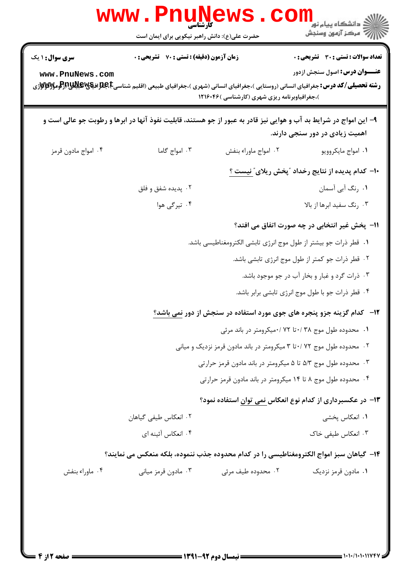|                                                                                                                                                     | حضرت علی(ع): دانش راهبر نیکویی برای ایمان است                                                                                                                                                              |                                                               | ڪ دانشڪاه پيام نور<br><mark>∕</mark> 7 مرڪز آزمون وسنڊش                              |  |  |
|-----------------------------------------------------------------------------------------------------------------------------------------------------|------------------------------------------------------------------------------------------------------------------------------------------------------------------------------------------------------------|---------------------------------------------------------------|--------------------------------------------------------------------------------------|--|--|
| <b>سری سوال :</b> ۱ یک<br>www.PnuNews.com                                                                                                           | <b>زمان آزمون (دقیقه) : تستی : 70 قشریحی : 0</b><br><b>رشته تحصیلی/کد درس:</b> جغرافیای انسانی (روستایی )،جغرافیای انسانی (شهری )،جغرافیای طبیعی (اقلیم شناسیCبهایاتیالاتیاللاتیاتراتومولایاتیاتراتومولایا | )،جغرافیاوبرنامه ریزی شهری (کارشناسی )۱۲۱۶۰۴۶                 | <b>تعداد سوالات : تستی : 30 ٪ تشریحی : 0</b><br><b>عنـــوان درس:</b> اصول سنجش ازدور |  |  |
| ۹- این امواج در شرایط بد آب و هوایی نیز قادر به عبور از جو هستند، قابلیت نفوذ آنها در ابرها و رطوبت جو عالی است و<br>اهمیت زیادی در دور سنجی دارند. |                                                                                                                                                                                                            |                                                               |                                                                                      |  |  |
| ۰۴ امواج مادون قرمز                                                                                                                                 | ۰۳ امواج گاما                                                                                                                                                                                              | ٠٢ امواج ماوراء بنفش                                          | ٠١. امواج مايكروويو                                                                  |  |  |
|                                                                                                                                                     |                                                                                                                                                                                                            |                                                               | ۱۰– کدام پدیده از نتایج رخداد ″پخش ریلای″ نیست ؟                                     |  |  |
|                                                                                                                                                     | ۰۲ پدیده شفق و فلق                                                                                                                                                                                         |                                                               | ۰۱ رنگ آبی آسمان                                                                     |  |  |
|                                                                                                                                                     | ۰۴ تیرگی هوا                                                                                                                                                                                               |                                                               | ۰۳ رنگ سفید ابرها از بالا                                                            |  |  |
| 11– پخش غیر انتخابی در چه صورت اتفاق می افتد؟                                                                                                       |                                                                                                                                                                                                            |                                                               |                                                                                      |  |  |
| ۰۱ قطر ذرات جو بیشتر از طول موج انرژی تابشی الکترومغناطیسی باشد.<br>۰۲ قطر ذرات جو کمتر از طول موج انرژی تابشی باشد.                                |                                                                                                                                                                                                            |                                                               |                                                                                      |  |  |
|                                                                                                                                                     |                                                                                                                                                                                                            |                                                               |                                                                                      |  |  |
|                                                                                                                                                     |                                                                                                                                                                                                            |                                                               | ۰۴ قطر ذرات جو با طول موج انرژی تابشی برابر باشد.                                    |  |  |
|                                                                                                                                                     | <b>۱۲</b> - کدام گزینه جزو پنجره های جوی مورد استفاده در سنجش از دور نمی باشد؟                                                                                                                             |                                                               |                                                                                      |  |  |
|                                                                                                                                                     | ۰۱ محدوده طول موج ۳۸ /۷۰ تا ۷۲ /۰۰میکرومتر در باند مرئی                                                                                                                                                    |                                                               |                                                                                      |  |  |
|                                                                                                                                                     | ۰۲ محدوده طول موج ۷۲ /۳۰ ۳ میکرومتر در باند مادون قرمز نزدیک و میانی                                                                                                                                       |                                                               |                                                                                      |  |  |
|                                                                                                                                                     |                                                                                                                                                                                                            | ۰۳ محدوده طول موج ۵/۳ تا ۵ میکرومتر در باند مادون قرمز حرارتی |                                                                                      |  |  |
|                                                                                                                                                     |                                                                                                                                                                                                            | ۰۴ محدوده طول موج ۸ تا ۱۴ میکرومتر در باند مادون قرمز حرارتی  |                                                                                      |  |  |
|                                                                                                                                                     |                                                                                                                                                                                                            |                                                               | ۱۳– در عکسبرداری از کدام نوع انعکاس نمی <u>توان</u> استفاده نمود؟                    |  |  |
|                                                                                                                                                     | ۰۲ انعکاس طیفی گیاهان                                                                                                                                                                                      |                                                               | ۰۱ انعکاس پخشی                                                                       |  |  |
|                                                                                                                                                     | ۰۴ انعکاس آئینه ای                                                                                                                                                                                         |                                                               | ۰۳ انعکاس طیفی خاک                                                                   |  |  |
| ۱۴– گیاهان سبز امواج الکترومغناطیسی را در کدام محدوده جذب ننموده، بلکه منعکس می نمایند؟                                                             |                                                                                                                                                                                                            |                                                               |                                                                                      |  |  |
| ۰۴ ماوراء بنفش                                                                                                                                      | ۰۳ مادون قرمز میانی                                                                                                                                                                                        | ۰۲ محدوده طیف مرئی                                            | ۰۱ مادون قرمز نزدیک                                                                  |  |  |
|                                                                                                                                                     |                                                                                                                                                                                                            |                                                               |                                                                                      |  |  |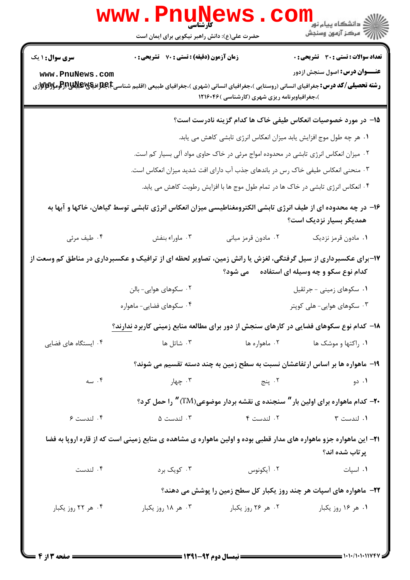|                                           | کا, شناسی<br>حضرت علی(ع): دانش راهبر نیکویی برای ایمان است                                                                                                                                       |                                                                                                                      |                                                                                                      |
|-------------------------------------------|--------------------------------------------------------------------------------------------------------------------------------------------------------------------------------------------------|----------------------------------------------------------------------------------------------------------------------|------------------------------------------------------------------------------------------------------|
| <b>سری سوال : ۱ یک</b><br>www.PnuNews.com | زمان آزمون (دقیقه) : تستی : 70 ٪ تشریحی : 0<br><b>رشته تحصیلی/کد درس:</b> جغرافیای انسانی (روستایی )،جغرافیای انسانی (شهری )،جغرافیای طبیعی (اقلیم شناسی <b>E،طبلاتیاشیاشی (تراومولایاتور</b> ژی |                                                                                                                      | <b>تعداد سوالات : تستی : 30 ٪ تشریحی : 0</b><br><b>عنـــوان درس:</b> اصول سنجش ازدور                 |
|                                           |                                                                                                                                                                                                  | )،جغرافیاوبرنامه ریزی شهری (کارشناسی )۱۲۱۶۰۴۶<br>۰۱ هر چه طول موج افزایش یابد میزان انعکاس انرژی تابشی کاهش می یابد. | ۱۵– در مورد خصوصیات انعکاس طیفی خاک ها کدام گزینه نادرست است؟                                        |
|                                           | ۰۳ منحنی انعکاس طیفی خاک رس در باندهای جذب آب دارای افت شدید میزان انعکاس است.                                                                                                                   | ۰۲ میزان انعکاس انرژی تابشی در محدوده امواج مرئی در خاک حاوی مواد آلی بسیار کم است.                                  |                                                                                                      |
|                                           | ۱۶– در چه محدوده ای از طیف انرژی تابشی الکترومغناطیسی میزان انعکاس انرژی تابشی توسط گیاهان، خاکها و آبها به                                                                                      | ۰۴ انعکاس انرژی تابشی در خاک ها در تمام طول موج ها با افزایش رطوبت کاهش می یابد.                                     | همدیگر بسیار نزدیک است؟                                                                              |
| ۰۴ طيف مرئي                               | ۰۳ ماوراء بنفش<br>۱۷-برای عکسبرداری از سیل گرفتگی، لغزش یا رانش زمین، تصاویر لحظه ای از ترافیک و عکسبرداری در مناطق کم وسعت از                                                                   | ۰۲ مادون قرمز میانی                                                                                                  | ٠١ مادون قرمز نزديک<br>کدام نوع سکو و چه وسیله ای استفاده می شود؟                                    |
|                                           | ۰۲ سکوهای هوایی- بالن<br>۰۴ سکوهای فضایی- ماهواره                                                                                                                                                |                                                                                                                      | ۰۱ سکوهای زمینی - جرثقیل<br>۰۳ سکوهای هوایی- هلی کوپتر                                               |
| ۰۴ ایستگاه های فضایی                      | ۱۸– کدام نوع سکوهای فضایی در کارهای سنجش از دور برای مطالعه منابع زمینی کاربرد ندارند؟<br>۰۳ شاتل ها                                                                                             | ۰۱ راکتها و موشک ها مسلسل ۲۰ ماهواره ها                                                                              |                                                                                                      |
| ۰۴ سه                                     | ۰۳ چهار                                                                                                                                                                                          | ۰۲ پنج                                                                                                               | ۱۹- ماهواره ها بر اساس ارتفاعشان نسبت به سطح زمین به چند دسته تقسیم می شوند؟<br>۰۱ دو                |
| ۰۴ لندست ۶                                | ۰۳ لندست ۵                                                                                                                                                                                       | ۰۲ لندست ۴                                                                                                           | <b>۲۰</b> - کدام ماهواره برای اولین بار " سنجنده ی نقشه بردار موضوعی(TM) " را حمل کرد؟<br>۰۱ لندست ۳ |
| ۰۴ لندست                                  | ۲۱- این ماهواره جزو ماهواره های مدار قطبی بوده و اولین ماهواره ی مشاهده ی منابع زمینی است که از قاره اروپا به فضا<br>۰۳ کویک برد                                                                 | ۰۲ آیکونوس                                                                                                           | پرتاب شده اند؟<br>۰۱ اسپات                                                                           |
| ۰۴ هر ۲۲ روز یکبار                        | ۰۳ هر ۱۸ روز یکبار                                                                                                                                                                               |                                                                                                                      | <b>۲۲</b> - ماهواره های اسپات هر چند روز یکبار کل سطح زمین را پوشش می دهند؟                          |
|                                           |                                                                                                                                                                                                  |                                                                                                                      |                                                                                                      |